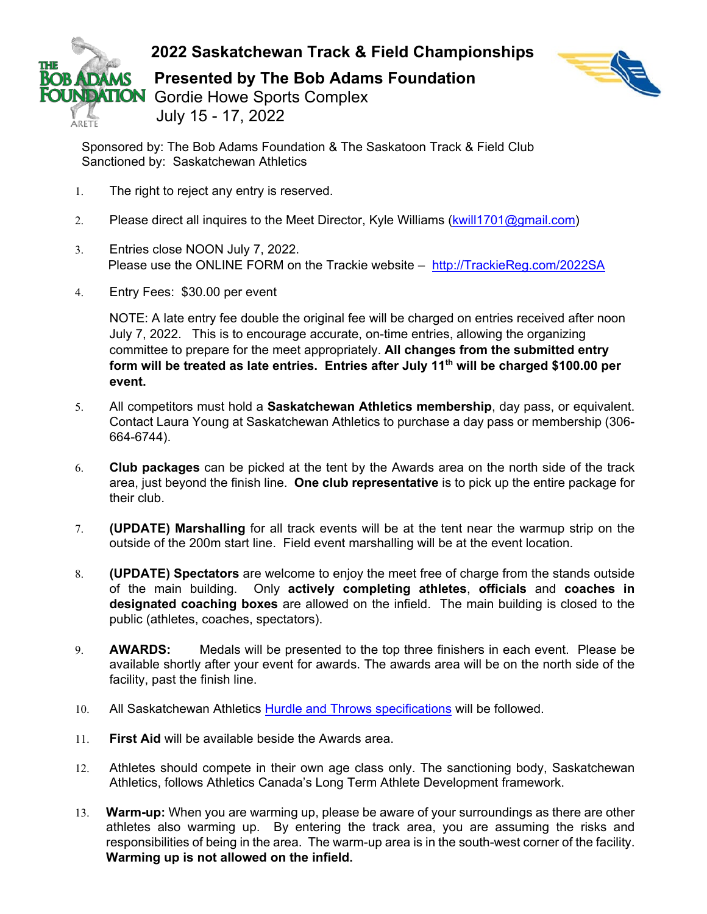



**ARETE** 

Sponsored by: The Bob Adams Foundation & The Saskatoon Track & Field Club Sanctioned by: Saskatchewan Athletics

- 1. The right to reject any entry is reserved.
- 2. Please direct all inquires to the Meet Director, Kyle Williams [\(kwill1701@gmail.com\)](mailto:kwill1701@gmail.com)
- 3. Entries close NOON July 7, 2022. Please use the ONLINE FORM on the Trackie website – [http://TrackieReg.com/2022SA](http://trackiereg.com/2022SA)
- 4. Entry Fees: \$30.00 per event

NOTE: A late entry fee double the original fee will be charged on entries received after noon July 7, 2022. This is to encourage accurate, on-time entries, allowing the organizing committee to prepare for the meet appropriately. **All changes from the submitted entry form will be treated as late entries. Entries after July 11th will be charged \$100.00 per event.** 

- 5. All competitors must hold a **Saskatchewan Athletics membership**, day pass, or equivalent. Contact Laura Young at Saskatchewan Athletics to purchase a day pass or membership (306- 664-6744).
- 6. **Club packages** can be picked at the tent by the Awards area on the north side of the track area, just beyond the finish line. **One club representative** is to pick up the entire package for their club.
- 7. **(UPDATE) Marshalling** for all track events will be at the tent near the warmup strip on the outside of the 200m start line. Field event marshalling will be at the event location.
- 8. **(UPDATE) Spectators** are welcome to enjoy the meet free of charge from the stands outside of the main building. Only **actively completing athletes**, **officials** and **coaches in designated coaching boxes** are allowed on the infield. The main building is closed to the public (athletes, coaches, spectators).
- 9. **AWARDS:** Medals will be presented to the top three finishers in each event. Please be available shortly after your event for awards. The awards area will be on the north side of the facility, past the finish line.
- 10. All Saskatchewan Athletics [Hurdle and Throws specifications](https://www.saskathletics.ca/images/pdfs/Outdoor_Events_-_Updated_2020.pdf) will be followed.
- 11. **First Aid** will be available beside the Awards area.
- 12. Athletes should compete in their own age class only. The sanctioning body, Saskatchewan Athletics, follows Athletics Canada's Long Term Athlete Development framework.
- 13. **Warm-up:** When you are warming up, please be aware of your surroundings as there are other athletes also warming up. By entering the track area, you are assuming the risks and responsibilities of being in the area. The warm-up area is in the south-west corner of the facility. **Warming up is not allowed on the infield.**